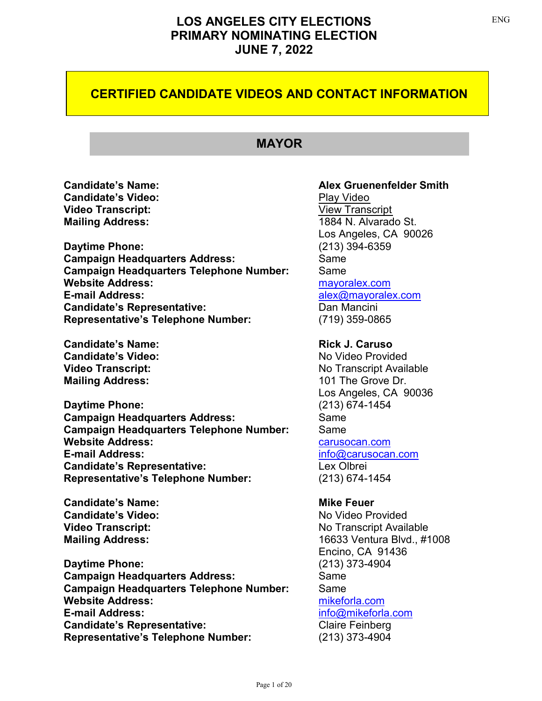## **CERTIFIED CANDIDATE VIDEOS AND CONTACT INFORMATION**

## **MAYOR**

**Candidate's [Video](https://youtu.be/y0qbp8JMfDU):** Play Video **Video Transcript:** View Transcript **Mailing Address:** 1884 N. Alvarado St.

**Daytime Phone:** (213) 394-6359 **Campaign Headquarters Address:** Same **Campaign Headquarters Telephone Number:** Same **Website Address:** [mayoralex.com](https://mayoralex.com/) **E-mail Address:** [alex@mayoralex.com](mailto:alex@mayoralex.com) **Candidate's Representative:** Dan Mancini **Representative's Telephone Number:** (719) 359-0865

**Candidate's Name: Rick J. Caruso Candidate's Video:** No Video Provided **Mailing Address:** 101 The Grove Dr.

**Daytime Phone:** (213) 674-1454 **Campaign Headquarters Address:** Same **Campaign Headquarters Telephone Number:** Same **Website Address:** Carusocan.com **E-mail Address:** [info@carusocan.com](mailto:info@carusocan.com) **Candidate's Representative:** Lex Olbrei **Representative's Telephone Number:** (213) 674-1454

**Candidate's Name: Mike Feuer Candidate's Video:** No Video Provided

**Daytime Phone:** (213) 373-4904 **Campaign Headquarters Address:** Same **Campaign Headquarters Telephone Number:** Same **Website Address:** [mikeforla.com](https://www.mikeforla.com/) **E-mail Address:** [info@mikeforla.com](mailto:info@mikeforla.com) **Candidate's Representative:** Claire Feinberg **Representative's Telephone Number:** (213) 373-4904

### **Candidate's Name: Alex Gruenenfelder Smith**

Los Angeles, CA 90026

**Video Transcript:** No Transcript Available Los Angeles, CA 90036

**Video Transcript:** No Transcript Available **Mailing Address:** 16633 Ventura Blvd., #1008 Encino, CA 91436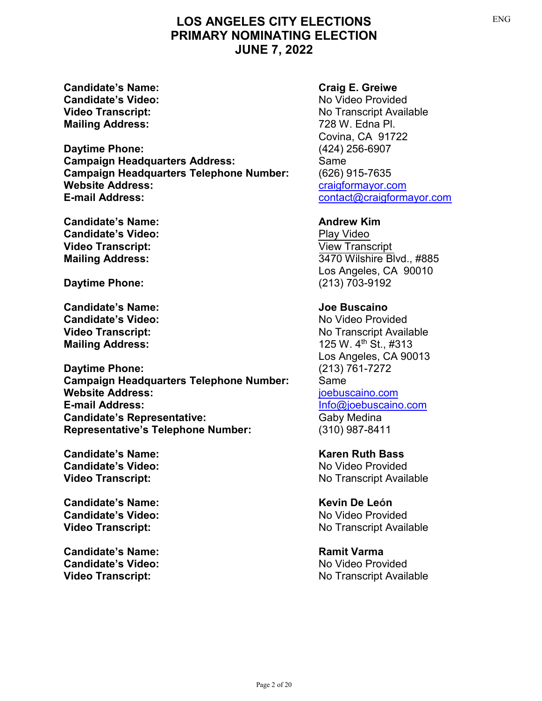**Candidate's Name: Craig E. Greiwe Candidate's Video:** No Video Provided **Mailing Address:** 728 W. Edna Pl.

**Daytime Phone:** (424) 256-6907 **Campaign Headquarters Address:** Same **Campaign Headquarters Telephone Number:** (626) 915-7635 **Website Address:** Website Address: **E-mail Address:** <contact@craigformayor.com>

**Candidate's Name: Andrew Kim Candidate's Video:** [Play Video](https://youtu.be/avxmVYaU3dg) **Video Transcript:** [View Transcript](https://clkrep.lacity.org/election/Kim_ENG.PDF)

**Daytime Phone:** (213) 703-9192

**Candidate's Name: Joe Buscaino Candidate's Video:** No Video Provided **Mailing Address:** 125 W. 4<sup>th</sup> St., #313

**Daytime Phone:** (213) 761-7272 **Campaign Headquarters Telephone Number:** Same **Website Address:** [joebuscaino.com](http://www.joebuscaino.com/) **E-mail Address:** [Info@joebuscaino.com](mailto:Info@joebuscaino.com) **Candidate's Representative:** Gaby Medina **Representative's Telephone Number:** (310) 987-8411

**Candidate's Name: Karen Ruth Bass** Candidate's Video: No Video Provided

**Candidate's Name: Kevin De León Candidate's Video:** No Video Provided

**Candidate's Name: Ramit Varma Candidate's Video:** No Video Provided

**Video Transcript:** No Transcript Available Covina, CA 91722

**Mailing Address:** 3470 Wilshire Blvd., #885 Los Angeles, CA 90010

**Video Transcript:** No Transcript Available Los Angeles, CA 90013

**Video Transcript:** No Transcript Available

**Video Transcript:** No Transcript Available

**Video Transcript:** No Transcript Available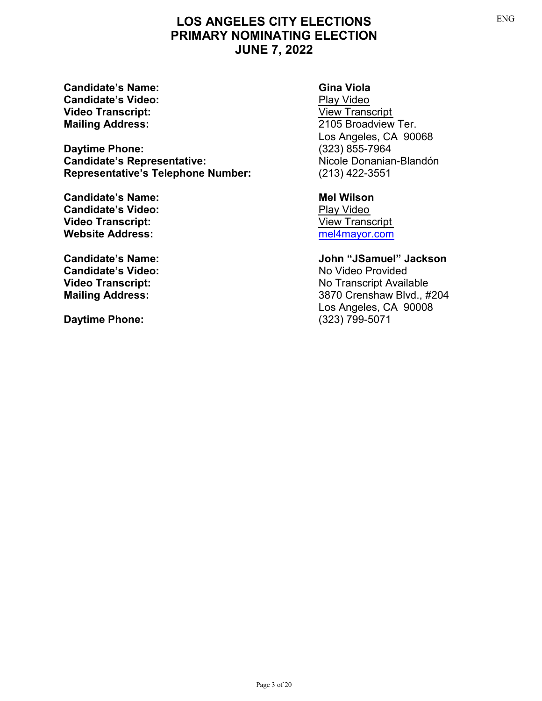**Candidate's Name: Gina Viola Candidate's Video:** [Play Video](https://youtu.be/6KbdJeRCQh4) **Video Transcript:** [View Transcript](https://clkrep.lacity.org/election/Viola_ENG.PDF)

**Daytime Phone:** (323) 855-7964 **Candidate's Representative:**<br> **Representative's Telephone Number:** (213) 422-3551 **Representative's Telephone Number:** 

**Candidate's Name: Mel Wilson Candidate's Video:**<br> **[Play Video](https://youtu.be/7AAnKTYsMMU) Transcript:**<br>
Play View Transcript: **Video Transcript: Website Address:** Mebsite Address: Manual Mebsite Address: Manual Mebsite Address: Manual Mebsite Address: Manual Mebsite Address: Manual Mebsite Address: Manual Mebsite Address: Manual Mebsite Address: Manual Mebsite Add

**Candidate's Video:** No Video Provided

**Daytime Phone:** 

**Mailing Address:** 2105 Broadview Ter. Los Angeles, CA 90068

**Candidate's Name: John "JSamuel" Jackson Video Transcript:** No Transcript Available **Mailing Address:** 3870 Crenshaw Blvd., #204 Los Angeles, CA 90008<br>(323) 799-5071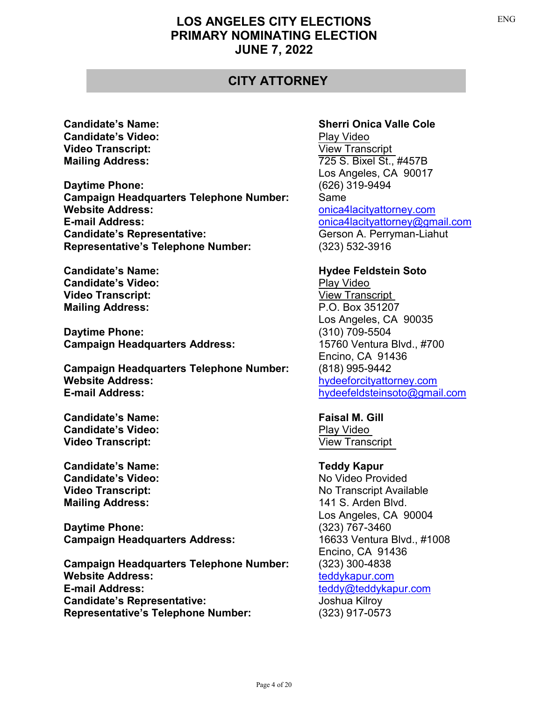## **CITY ATTORNEY**

**Candidate's Video:** [Play Video](https://youtu.be/XF12Nd2KRPs) **Video Transcript:** [View Transcript](https://clkrep.lacity.org/election/Cole_ENG.PDF)

**Daytime Phone:** (626) 319-9494 **Campaign Headquarters Telephone Number:** Same **Website Address:** Website Address: **E-mail Address:**<br> **Candidate's Representative:** Gerson A. Perryman-Liahut **Candidate's Representative: Representative's Telephone Number:** (323) 532-3916

**Candidate's Name: According to Except Arizon Soto Hydee Feldstein Soto Candidate's Video:** [Play Video](https://youtu.be/ipXxrvqHGMQ) **Video Transcript:** [View Transcript](https://clkrep.lacity.org/election/Soto_ENG.PDF) **Mailing Address:** P.O. Box 351207

**Daytime Phone:** (310) 709-5504 **Campaign Headquarters Address:** 15760 Ventura Blvd., #700

**Campaign Headquarters Telephone Number:** (818) 995-9442 **Website Address:** Mebsite Address: Mebsite Address: And the effectivation of the effectivation of the effective of the effective of the effective of the effective of the effective of the effective of the effective of the **E-mail Address:** <hydeefeldsteinsoto@gmail.com>

**Candidate's Name: Faisal M. Gill Candidate's Video:** [Play Video](https://youtu.be/2BiKrLotsqY) **Video Transcript:** [View Transcript](https://clkrep.lacity.org/election/Gill_ENG.PDF)

**Candidate's Name: Teddy Kapur Candidate's Video:** No Video Provided **Mailing Address:** 141 S. Arden Blvd.

**Daytime Phone:** (323) 767-3460 **Campaign Headquarters Address:** 16633 Ventura Blvd., #1008

**Campaign Headquarters Telephone Number:** (323) 300-4838 **Website Address:**  $\qquad \qquad$  [teddykapur.com](https://teddykapur.com/) **E-mail Address:** [teddy@teddykapur.com](mailto:teddy@teddykapur.com) **Candidate's Representative:** Joshua Kilroy **Representative's Telephone Number:** (323) 917-0573

### **Candidate's Name: Sherri Onica Valle Cole**

**Mailing Address:** 725 S. Bixel St., #457B Los Angeles, CA 90017

> Los Angeles, CA 90035 Encino, CA 91436

**Video Transcript:** No Transcript Available Los Angeles, CA 90004 Encino, CA 91436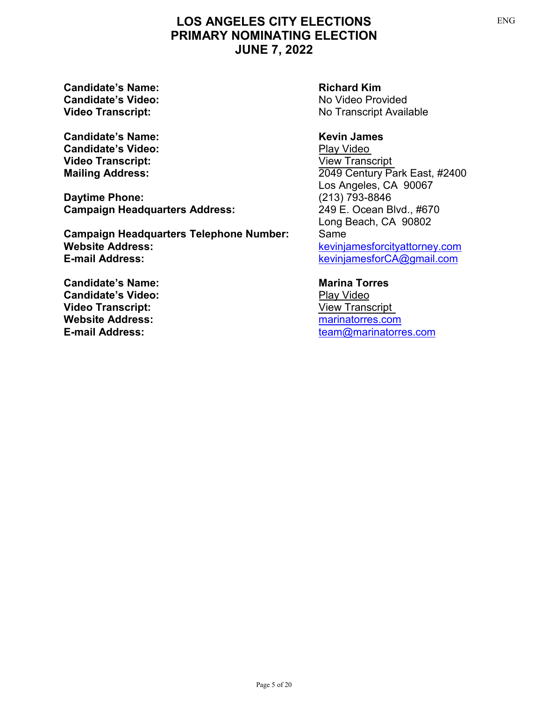**Candidate's Name: Richard Kim Candidate's Video:** No Video Provided

**Candidate's Name: Kevin James Candidate's Video:** [Play Video](https://youtu.be/Erpq_Vx8mvs) **Video Transcript:** [View Transcript](https://clkrep.lacity.org/election/James_ENG.PDF)

**Daytime Phone:** (213) 793-8846 **Campaign Headquarters Address:** 249 E. Ocean Blvd., #670

**Campaign Headquarters Telephone Number:** Same **Website Address:** Website Address:  $k$ evinjamesforcityattorney.com **E-mail Address:** <kevinjamesforCA@gmail.com>

**Candidate's Name: Marina Torres Candidate's Video:** [Play Video](https://youtu.be/WM9vummWslA) **Video Transcript:** [View Transcript](https://clkrep.lacity.org/election/Torres_ENG.PDF) **Website Address:** Mebsite Address: Marinatorres.com

**Video Transcript:** No Transcript Available

**Mailing Address:** 2049 Century Park East, #2400 Los Angeles, CA 90067 Long Beach, CA 90802

**E-mail Address:** [team@marinatorres.com](mailto:team@marinatorres.com)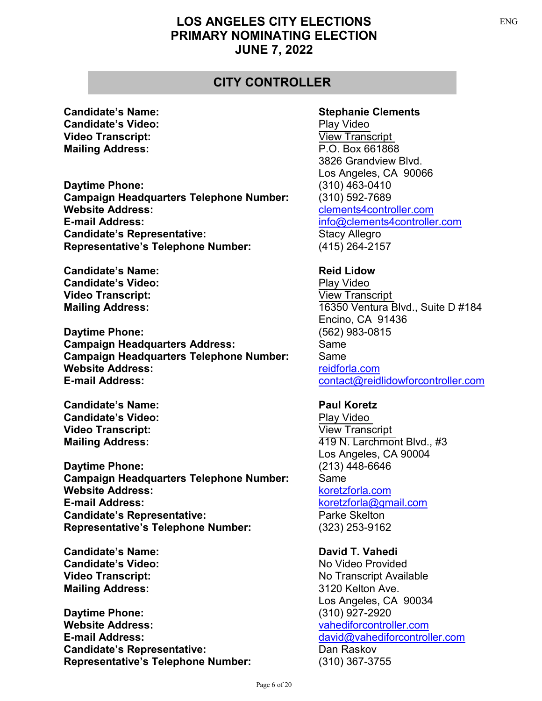## **CITY CONTROLLER**

**Candidate's Video:** [Play Video](https://youtu.be/DDj8Csm_irI) **Video Transcript:** [View Transcript](https://clkrep.lacity.org/election/Clements_ENG.PDF) **Mailing Address:** P.O. Box 661868

**Daytime Phone:** (310) 463-0410 **Campaign Headquarters Telephone Number:** (310) 592-7689 **Website Address:** [clements4controller.com](https://clements4controller.com/) **E-mail Address:** [info@clements4controller.com](mailto:info@clements4controller.com) **Candidate's Representative:** Stacy Allegro **Representative's Telephone Number:** (415) 264-2157

**Candidate's Name: Reid Lidow Reid Lidow Candidate's Video:** [Play Video](https://youtu.be/96edD_cAjXU) **Video Transcript:** [View Transcript](https://clkrep.lacity.org/election/Lidow_ENG.PDF)

**Daytime Phone:** (562) 983-0815 **Campaign Headquarters Address:** Same **Campaign Headquarters Telephone Number:** Same **Website Address:**  $\blacksquare$ **E-mail Address:** <contact@reidlidowforcontroller.com>

**Candidate's Name: Paul Koretz Candidate's Video:** [Play Video](https://youtu.be/J6zHKjmja_k) **Video Transcript:** [View Transcript](https://clkrep.lacity.org/election/Koretz_ENG.PDF)

**Daytime Phone:** (213) 448-6646 **Campaign Headquarters Telephone Number:** Same **Website Address:** Website Address: **E-mail Address:** [koretzforla@gmail.com](mailto:koretzforla@gmail.com) **Candidate's Representative:** Parke Skelton **Representative's Telephone Number:** (323) 253-9162

**Candidate's Name: David T. Vahedi Candidate's Video:** No Video Provided **Mailing Address:** 3120 Kelton Ave.

**Daytime Phone:** (310) 927-2920 **Website Address:** [vahediforcontroller.com](https://vahediforcontroller.com/) **E-mail Address:** <david@vahediforcontroller.com> **Candidate's Representative:** Dan Raskov **Representative's Telephone Number:** (310) 367-3755

### **Candidate's Name: Stephanie Clements**

3826 Grandview Blvd. Los Angeles, CA 90066

**Mailing Address:** 16350 Ventura Blvd., Suite D #184 Encino, CA 91436

**Mailing Address:**  $\begin{array}{ccc} 419 \text{ N. Larchmont Blvd., \#3} \end{array}$ Los Angeles, CA 90004

**Video Transcript:** No Transcript Available Los Angeles, CA 90034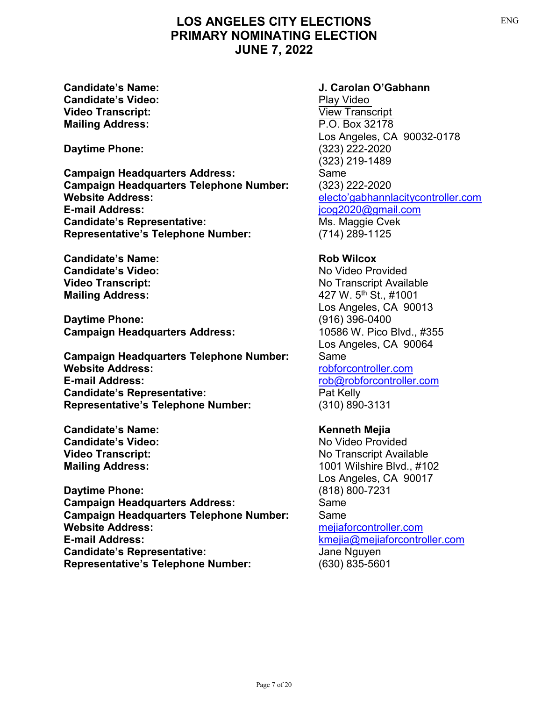**Candidate's Video:** [Play Video](https://youtu.be/rKwz5JoY3-8) **Video Transcript:** [View Transcript](https://clkrep.lacity.org/election/OGabhann_ENG.PDF) **Mailing Address:** P.O. Box 32178

**Daytime Phone:** (323) 222-2020

**Campaign Headquarters Address:** Same **Campaign Headquarters Telephone Number:** (323) 222-2020 **Website Address:** [electo'gabhannlacitycontroller.com](http://electo’gabhannlacitycontroller.com/) **E-mail Address:** [jcog2020@gmail.com](mailto:jcog2020@gmail.com) **Candidate's Representative:** Ms. Maggie Cvek **Representative's Telephone Number:** (714) 289-1125

**Candidate's Name: Rob Wilcox Candidate's Video:** No Video Provided

**Daytime Phone:** (916) 396-0400 **Campaign Headquarters Address:** 10586 W. Pico Blvd., #355

**Campaign Headquarters Telephone Number:** Same **Website Address:** [robforcontroller.com](https://robforcontroller.com/) **E-mail Address:** <rob@robforcontroller.com> **Candidate's Representative:** Pat Kelly **Representative's Telephone Number:** (310) 890-3131

**Candidate's Name: Kenneth Mejia Candidate's Video:** No Video Provided

**Daytime Phone:** (818) 800-7231 **Campaign Headquarters Address:** Same **Campaign Headquarters Telephone Number:** Same **Website Address:** [mejiaforcontroller.com](https://mejiaforcontroller.com/) **E-mail Address:** <kmejia@mejiaforcontroller.com> Candidate's Representative: **Candidate's Representative:** Jane Nguyen **Representative's Telephone Number:** (630) 835-5601

### **Candidate's Name: J. Carolan O'Gabhann**

Los Angeles, CA 90032-0178 (323) 219-1489

**Video Transcript:** No Transcript Available **Mailing Address:**  $\frac{427 \text{ W. } 5^{\text{th}} \text{ St. } \neq 1001}{27 \text{ W. } 5^{\text{th}} \text{ St. } \neq 1001}$ Los Angeles, CA 90013 Los Angeles, CA 90064

**Video Transcript:** No Transcript Available **Mailing Address:** 1001 Wilshire Blvd., #102 Los Angeles, CA 90017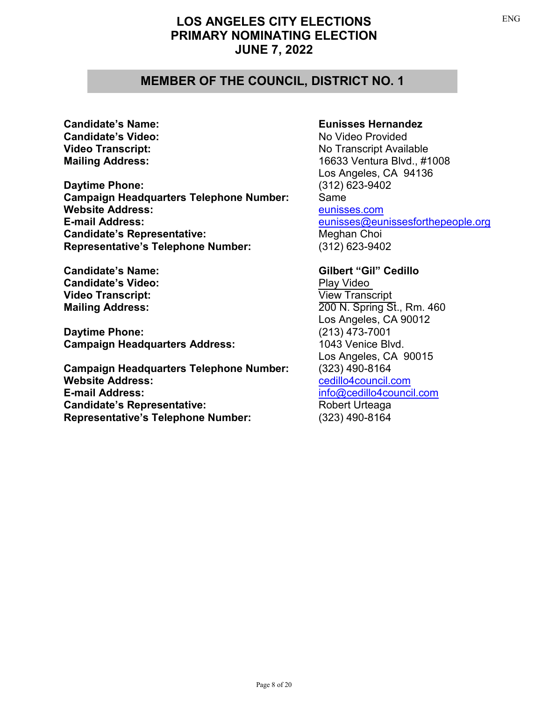### **MEMBER OF THE COUNCIL, DISTRICT NO. 1**

**Candidate's Video:** No Video Provided

**Daytime Phone:** (312) 623-9402 **Campaign Headquarters Telephone Number:** Same **Website Address:** [eunisses.com](https://www.eunissesforthepeople.org/) **E-mail Address:** <eunisses@eunissesforthepeople.org> **Candidate's Representative:** Meghan Choi **Representative's Telephone Number:** (312) 623-9402

**Candidate's Video:** [Play Video](https://youtu.be/FBf6mc6cC8Y) **Video Transcript:** [View Transcript](https://clkrep.lacity.org/election/Cedillo_ENG.PDF)

**Daytime Phone:** (213) 473-7001 **Campaign Headquarters Address:** 1043 Venice Blvd.

**Campaign Headquarters Telephone Number:**<br>Website Address: **E-mail Address:** [info@cedillo4council.com](mailto:info@cedillo4council.com) **Candidate's Representative:** Robert Urteaga **Representative's Telephone Number:** (323) 490-8164

### **Candidate's Name: Eunisses Hernandez**

**Video Transcript:** No Transcript Available **Mailing Address:** 16633 Ventura Blvd., #1008 Los Angeles, CA 94136

**Candidate's Name: Gilbert "Gil" Cedillo Mailing Address:** 200 N. Spring St., Rm. 460 Los Angeles, CA 90012 Los Angeles, CA 90015<br>(323) 490-8164 **Website Address:** [cedillo4council.com](https://cedillo4council.com/)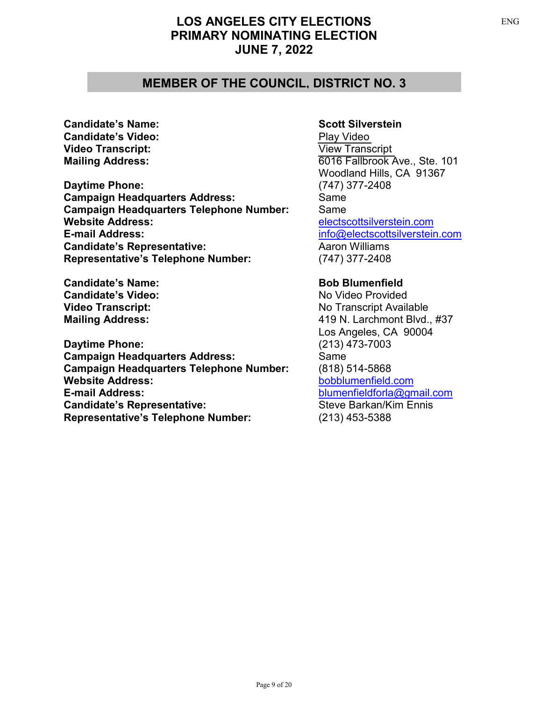### **MEMBER OF THE COUNCIL, DISTRICT NO. 3**

**Candidate's Name: Scott Silverstein Candidate's Video:** [Play Video](https://youtu.be/zO6TDGKhrTM) **Video Transcript:** [View Transcript](https://clkrep.lacity.org/election/Silverstein_ENG.PDF)

**Daytime Phone:** (747) 377-2408 **Campaign Headquarters Address:** Same **Campaign Headquarters Telephone Number:** Same **Website Address:** [electscottsilverstein.com](https://www.electscottsilverstein.com/) **E-mail Address:** [info@electscottsilverstein.com](mailto:info@electscottsilverstein.com) **Candidate's Representative:** Aaron Williams **Representative's Telephone Number:** (747) 377-2408

**Candidate's Name: Bob Blumenfield Candidate's Video:** No Video Provided

**Daytime Phone:** (213) 473-7003 **Campaign Headquarters Address:** Same **Campaign Headquarters Telephone Number:** (818) 514-5868 **E-mail Address:** [blumenfieldforla@gmail.com](mailto:blumenfieldforla@gmail.com) **Candidate's Representative:** Steve Barkan/Kim Ennis **Representative's Telephone Number:** (213) 453-5388

**Mailing Address:** 6016 Fallbrook Ave., Ste. 101 Woodland Hills, CA 91367

**Video Transcript:** No Transcript Available **Mailing Address:** 419 N. Larchmont Blvd., #37 Los Angeles, CA 90004 **Website Address:** [bobblumenfield.com](https://www.bobblumenfield.com/)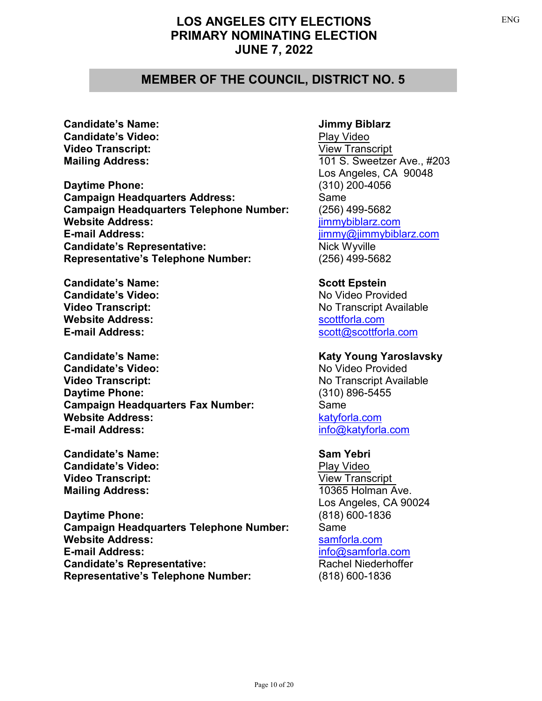### **MEMBER OF THE COUNCIL, DISTRICT NO. 5**

**Candidate's Name: Jimmy Biblarz Candidate's Video:** [Play Video](https://youtu.be/TkaLgBwN248) **Video Transcript:** [View Transcript](https://clkrep.lacity.org/election/Biblarz_ENG.PDF)

**Daytime Phone:** (310) 200-4056 **Campaign Headquarters Address:** Same **Campaign Headquarters Telephone Number:** (256) 499-5682 **Website Address:** [jimmybiblarz.com](https://jimmybiblarz.com/) **E-mail Address:** <jimmy@jimmybiblarz.com> **Candidate's Representative:** Nick Wyville **Representative's Telephone Number:** (256) 499-5682

**Candidate's Name: Scott Epstein Candidate's Video:** No Video Provided **Website Address:** Website Address:

**Candidate's Name: Katy Young Yaroslavsky** Candidate's Video: No Video Provided **Video Transcript:** No Transcript Available **Daytime Phone:** (310) 896-5455 **Campaign Headquarters Fax Number:** Same **Website Address:** Website Address: **E-mail Address:** <info@katyforla.com>

**Candidate's Name:** Sam Yebri **Candidate's Video:** [Play Video](https://youtu.be/qP9n33LjO3A) **Video Transcript:** [View Transcript](https://clkrep.lacity.org/election/Yebri_ENG.PDF) **Mailing Address:** 10365 Holman Ave.

**Daytime Phone:** (818) 600-1836 **Campaign Headquarters Telephone Number:** Same **Website Address:** [samforla.com](https://samforla.com/) **E-mail Address:** <info@samforla.com> **Candidate's Representative:** Rachel Niederhoffer **Representative's Telephone Number:** (818) 600-1836

**Mailing Address:** 101 S. Sweetzer Ave., #203 Los Angeles, CA 90048

**Video Transcript:** No Transcript Available **E-mail Address:** <scott@scottforla.com>

Los Angeles, CA 90024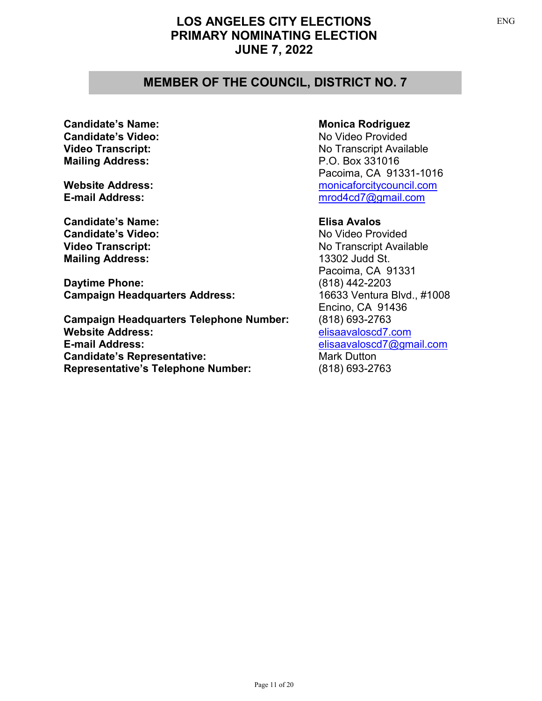## **MEMBER OF THE COUNCIL, DISTRICT NO. 7**

**Candidate's Video:** No Video Provided **Mailing Address:** P.O. Box 331016

**Candidate's Name: Elisa Avalos Candidate's Video:** No Video Provided **Mailing Address:** 13302 Judd St.

**Daytime Phone:** (818) 442-2203 **Campaign Headquarters Address:** 16633 Ventura Blvd., #1008

**Campaign Headquarters Telephone Number:** (818) 693-2763 **Website Address:** [elisaavaloscd7.com](https://elisaavaloscd7.com/) **E-mail Address:** [elisaavaloscd7@gmail.com](mailto:elisaavaloscd7@gmail.com) **Candidate's Representative:** Mark Dutton **Representative's Telephone Number:** (818) 693-2763

### **Candidate's Name: Monica Rodriguez Monica Rodriguez**

**Video Transcript:** No Transcript Available Pacoima, CA 91331-1016 **Website Address:** Mebsite Address: Mebsite Address: Mebsite Address: Mebsite Address: Mebsite Address: Mebsite Address: Mebsite Address: Mebsite Address: Mebsite Address: Mebsite Address: Mebsite Address: Mebsite Address: **E-mail Address:** [mrod4cd7@gmail.com](mailto:mrod4cd7@gmail.com)

**Video Transcript:** No Transcript Available Pacoima, CA 91331 Encino, CA 91436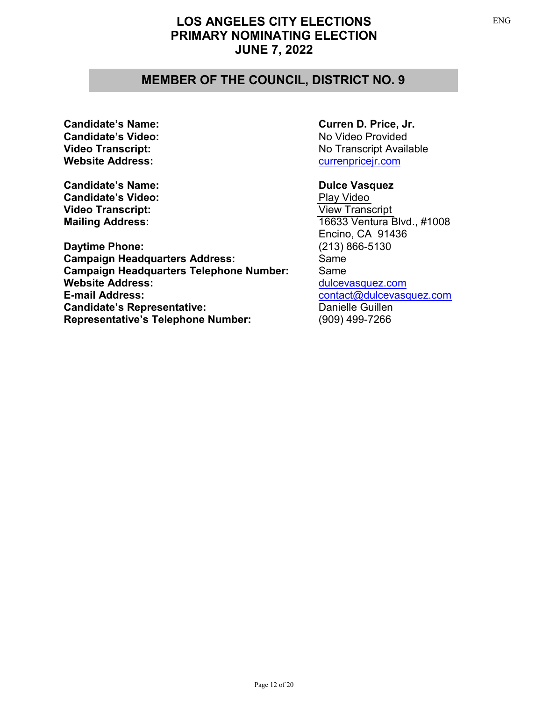## **MEMBER OF THE COUNCIL, DISTRICT NO. 9**

Candidate's Video: No Video Provided **Website Address:** Website Address:

**Candidate's Name:**<br> **Candidate's Video:**<br> **Candidate's Video:**<br> **Play Video Candidate's Video: Video Transcript:** [View Transcript](https://clkrep.lacity.org/election/Vasquez_ENG.PDF)

**Daytime Phone:** (213) 866-5130 **Campaign Headquarters Address:** Same **Campaign Headquarters Telephone Number:** Same **Website Address:** Website Address:  $\frac{du}{c}$  [dulcevasquez.com](https://www.dulcevasquez.com/) **E-mail Address:** [contact@dulcevasquez.com](mailto:contact@dulcevasquez.com) **Candidate's Representative:** Danielle Guillen **Representative's Telephone Number:** (909) 499-7266

### **Candidate's Name: Curren D. Price, Jr.**

**Video Transcript:** No Transcript Available

**Mailing Address:** 16633 Ventura Blvd., #1008 Encino, CA 91436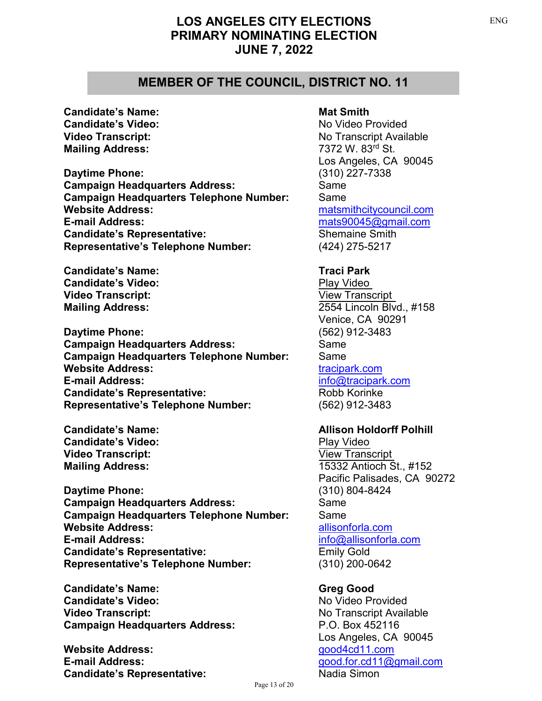### **MEMBER OF THE COUNCIL, DISTRICT NO. 11**

**Candidate's Name: Mat Smith Candidate's Video:** No Video Provided **Mailing Address:** 7372 W. 83<sup>rd</sup> St.

**Daytime Phone:** (310) 227-7338 **Campaign Headquarters Address:** Same **Campaign Headquarters Telephone Number:** Same **Website Address:** Mebsite Address: Mebsite Address: Mebsite Address: Mebsite Address: Mebsite Address: Mebsite A **E-mail Address:** [mats90045@gmail.com](mailto:mats90045@gmail.com) **Candidate's Representative:** Shemaine Smith **Representative's Telephone Number:** (424) 275-5217

**Candidate's Name:** Traci Park **Candidate's Video:** [Play Video](https://youtu.be/Xuwyy8Y4JIM) **Video Transcript:** [View Transcript](https://clkrep.lacity.org/election/Park_ENG.PDF)

**Daytime Phone:** (562) 912-3483 **Campaign Headquarters Address:** Same **Campaign Headquarters Telephone Number:** Same **Website Address:**  $\qquad \qquad$  [tracipark.com](https://tracipark.com/) **E-mail Address:** [info@tracipark.com](mailto:info@tracipark.com) **Candidate's Representative:** Robb Korinke **Representative's Telephone Number:** (562) 912-3483

**Candidate's Video:** [Play Video](https://youtu.be/MwPtnayRi3c) **Video Transcript:** [View Transcript](https://clkrep.lacity.org/election/Polhill_ENG.PDF)

**Daytime Phone:** (310) 804-8424 **Campaign Headquarters Address:** Same **Campaign Headquarters Telephone Number:** Same **Website Address:**  $\blacksquare$ **E-mail Address:** [info@allisonforla.com](mailto:info@allisonforla.com) **Candidate's Representative:** Emily Gold **Representative's Telephone Number:** (310) 200-0642

**Candidate's Name: Greg Good Candidate's Video:** No Video Provided **Video Transcript:** No Transcript Available **Campaign Headquarters Address:** P.O. Box 452116

**Website Address: [good4cd11.com](https://www.good4cd11.com/) E-mail Address:** [good.for.cd11@gmail.com](mailto:good.for.cd11@gmail.com) **Candidate's Representative:** Nadia Simon

**Video Transcript:** No Transcript Available Los Angeles, CA 90045

**Mailing Address:** 2554 Lincoln Blvd., #158 Venice, CA 90291

### **Candidate's Name: Allison Holdorff Polhill**

**Mailing Address:** 15332 Antioch St., #152 Pacific Palisades, CA 90272

Los Angeles, CA 90045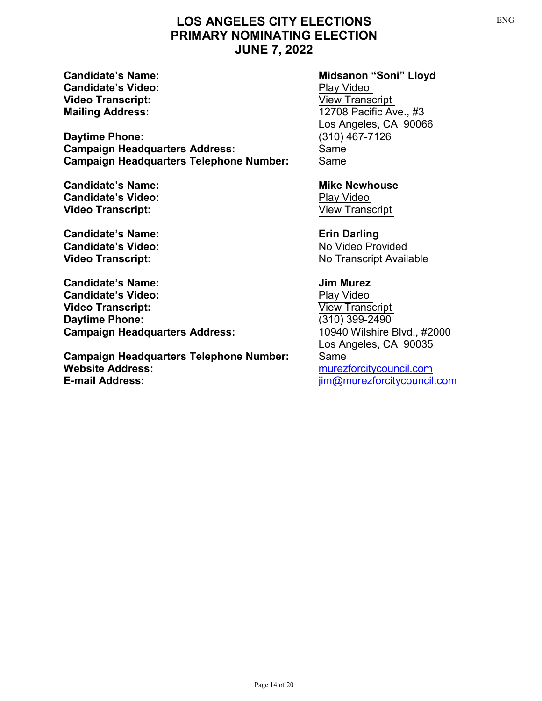**Candidate's Video:** [Play Video](https://youtu.be/7f2hwEOjjUo) **Video Transcript:** [View Transcript](https://clkrep.lacity.org/election/Lloyd_ENG.PDF)

**Daytime Phone:** (310) 467-7126 **Campaign Headquarters Address:** Same **Campaign Headquarters Telephone Number:** Same

**Candidate's Name: Mike Newhouse Mike Newhouse Candidate's Video:** [Play Video](https://youtu.be/aj-5gTZL5Pk) **Video Transcript:** [View Transcript](https://clkrep.lacity.org/election/Newhouse_ENG.PDF)

**Candidate's Name: Erin Darling Candidate's Video:** No Video Provided

**Candidate's Name: Jim Murez Candidate's Video:** [Play Video](https://youtu.be/Eemj8ymMpKQ) **Video Transcript:** [View Transcript](https://clkrep.lacity.org/election/Murez_ENG.PDF) **Daytime Phone:** (310) 399-2490 **Campaign Headquarters Address:** 10940 Wilshire Blvd., #2000

**Campaign Headquarters Telephone Number:** Same **Website Address:** [murezforcitycouncil.com](https://www.murezforcitycouncil.com/) **E-mail Address:** <jim@murezforcitycouncil.com>

### Candidate's Name: **Midsanon "Soni" Lloyd**

**Mailing Address:** 12708 Pacific Ave., #3 Los Angeles, CA 90066

**Video Transcript:** No Transcript Available

Los Angeles, CA 90035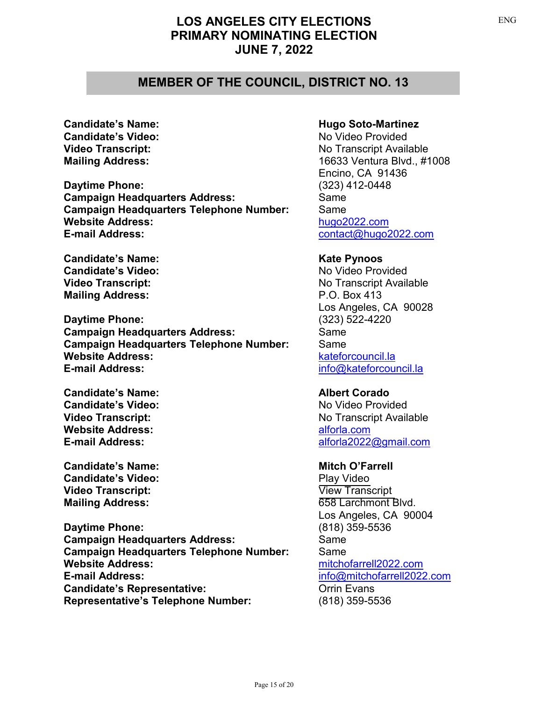### **MEMBER OF THE COUNCIL, DISTRICT NO. 13**

**Candidate's Video:** No Video Provided

**Daytime Phone:** (323) 412-0448 **Campaign Headquarters Address:** Same **Campaign Headquarters Telephone Number:** Same **Website Address:**  $h$ <sub>ugo</sub>2022.com **E-mail Address:** <contact@hugo2022.com>

**Candidate's Name: Kate Pynoos Candidate's Video:** No Video Provided **Mailing Address:** P.O. Box 413

**Daytime Phone:** (323) 522-4220 **Campaign Headquarters Address:** Same **Campaign Headquarters Telephone Number:** Same **Website Address:** Website Address: **E-mail Address:** [info@kateforcouncil.la](mailto:info@kateforcouncil.la)

**Candidate's Name: Albert Corado Candidate's Video:** No Video Provided **Website Address:** [alforla.com](https://www.alforla.com/)

**Candidate's Name: Mitch O'Farrell Candidate's Video:** [Play Video](https://youtu.be/KI-PQquJASI) **Video Transcript:** [View Transcript](https://clkrep.lacity.org/election/OFarrell_ENG.PDF)

**Daytime Phone:** (818) 359-5536 **Campaign Headquarters Address:** Same **Campaign Headquarters Telephone Number:** Same **Website Address:** [mitchofarrell2022.com](https://mitchofarrell2022.com/) **E-mail Address:** [info@mitchofarrell2022.com](mailto:info@mitchofarrell2022.com) **Candidate's Representative:** Candidate's **Representative:** Orrin Evans **Representative's Telephone Number:** (818) 359-5536

### **Candidate's Name: Hugo Soto-Martinez**

**Video Transcript:** No Transcript Available **Mailing Address:** 16633 Ventura Blvd., #1008 Encino, CA 91436

**Video Transcript:** No Transcript Available Los Angeles, CA 90028

**Video Transcript:** No Transcript Available **E-mail Address:** [alforla2022@gmail.com](mailto:alforla2022@gmail.com)

**Mailing Address:** 658 Larchmont Blvd. Los Angeles, CA 90004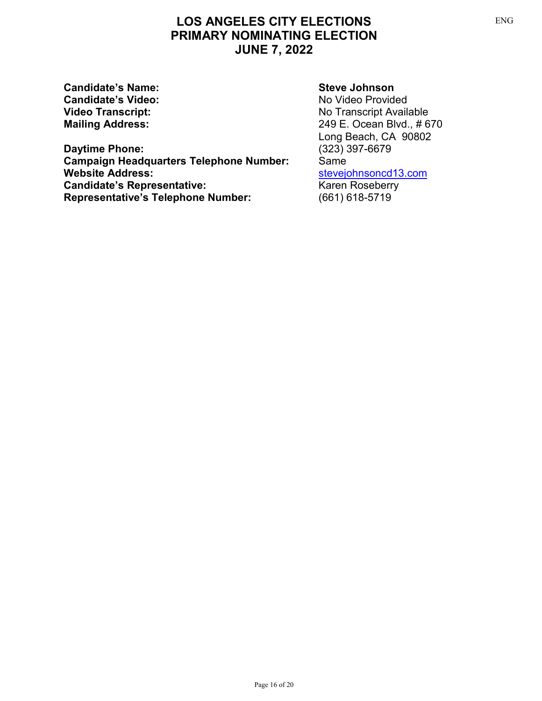**Candidate's Name: Steve Johnson Candidate's Video:**<br> **Video Transcript:**<br>
Video Transcript:<br>
No Transcript Avail

# **Daytime Phone: Campaign Headquarters Telephone Number:** Same<br>Website Address: **Website Address: Candidate's Representative:**<br> **Representative's Telephone Number:** (661) 618-5719 **Representative's Telephone Number:**

**Video Transcript:**<br> **Mailing Address:**<br>
Mailing Address:<br>
Mailing Address:<br>
Mailing Address:<br>
Mailing Address: **Mailing Address:** 249 E. Ocean Blvd., # 670 Long Beach, CA 90802<br>(323) 397-6679 [stevejohnsoncd13.com](https://stevejohnsoncd13.com/)<br>Karen Roseberry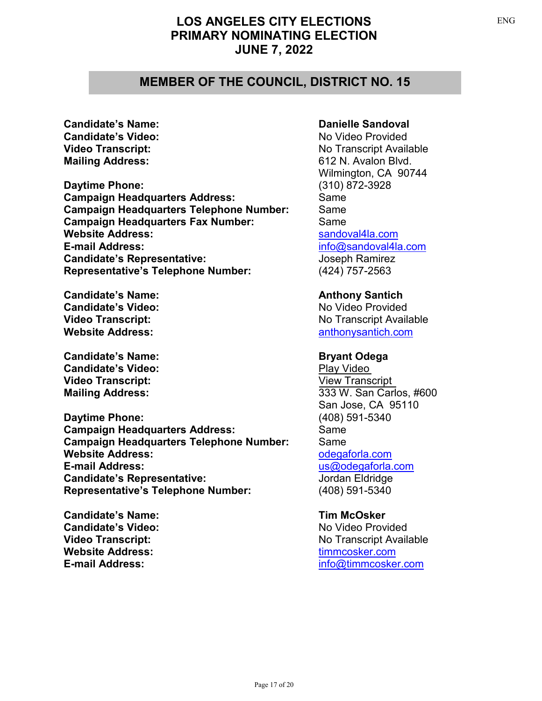### **MEMBER OF THE COUNCIL, DISTRICT NO. 15**

**Candidate's Video:** No Video Provided **Mailing Address:** 612 N. Avalon Blvd.

**Daytime Phone:** (310) 872-3928 **Campaign Headquarters Address:** Same **Campaign Headquarters Telephone Number:** Same **Campaign Headquarters Fax Number:** Same **Website Address:**  $\qquad \qquad$  [sandoval4la.com](https://www.sandoval4la.com/) **E-mail Address:** <info@sandoval4la.com> **Candidate's Representative:** Joseph Ramirez **Representative's Telephone Number:** (424) 757-2563

**Candidate's Name: Anthony Santich Candidate's Video:** No Video Provided **Website Address: [anthonysantich.com](https://anthonysantich.com/)** 

**Candidate's Name: Bryant Odega Candidate's Video:** [Play Video](https://youtu.be/wCjMfyTnvHs) **Video Transcript:** [View Transcript](https://clkrep.lacity.org/election/Odega_ENG.PDF)

**Daytime Phone:** (408) 591-5340 **Campaign Headquarters Address:** Same **Campaign Headquarters Telephone Number:** Same **Website Address:**  $\qquad \qquad$  Odegaforla.com **E-mail Address:** <us@odegaforla.com> **Candidate's Representative:** Jordan Eldridge **Representative's Telephone Number:** (408) 591-5340

**Candidate's Name: Tim McOsker Candidate's Video:** No Video Provided **Website Address:**  $\qquad \qquad \text{timmcosker.com}$  $\qquad \qquad \text{timmcosker.com}$  $\qquad \qquad \text{timmcosker.com}$ 

### **Candidate's Name: Danielle Sandoval**

**Video Transcript:** No Transcript Available Wilmington, CA 90744

**Video Transcript:** No Transcript Available

**Mailing Address:**  $\frac{333 \text{ W}}{201}$ . San Carlos, #600 San Jose, CA 95110

**Video Transcript:** No Transcript Available **E-mail Address:** [info@timmcosker.com](mailto:info@timmcosker.com)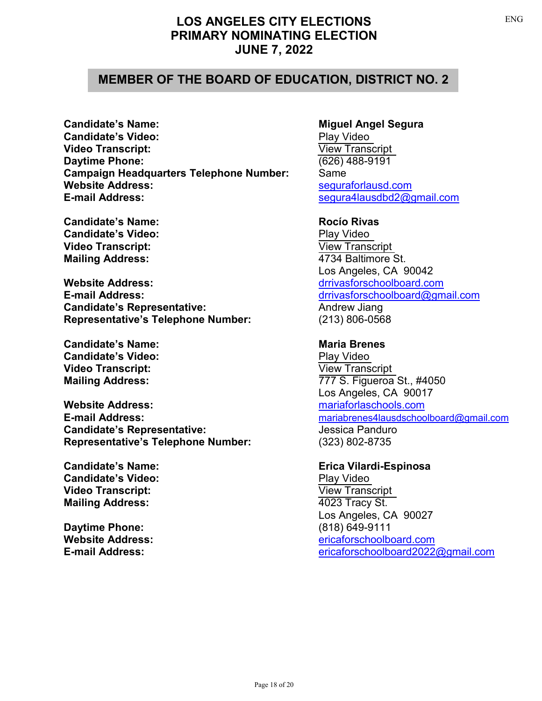## **MEMBER OF THE BOARD OF EDUCATION, DISTRICT NO. 2**

**Candidate's Name: Miguel Angel Segura Candidate's Video:** [Play Video](https://youtu.be/x8nY22XjLC4) **Video Transcript:** [View Transcript](https://clkrep.lacity.org/election/Segura_ENG.PDF) **Daytime Phone:** (626) 488-9191 **Campaign Headquarters Telephone Number:** Same **Website Address:**  $\qquad \qquad$  sequraforlausd.com **E-mail Address:** <segura4lausdbd2@gmail.com>

**Candidate's Name: Rocío Rivas Candidate's Video:** [Play Video](https://youtu.be/a-HA4WOiLvI) **Video Transcript:** [View Transcript](https://clkrep.lacity.org/election/Rivas_ENG.PDF) **Mailing Address:** 4734 Baltimore St.

**Website Address:** Website Address:  $\blacksquare$ **E-mail Address:** <drrivasforschoolboard@gmail.com> **Candidate's Representative:** Andrew Jiang **Representative's Telephone Number:** (213) 806-0568

**Candidate's Name: Maria Brenes Maria Brenes Candidate's Video:** [Play Video](https://youtu.be/afM4nGJFuKI) **Video Transcript:** [View Transcript](https://clkrep.lacity.org/election/Brenes_ENG.PDF)

**Website Address:** [mariaforlaschools.com](https://www.mariaforlaschools.com/) **Candidate's Representative:** Jessica Panduro **Representative's Telephone Number:** (323) 802-8735

**Candidate's Name: Erica Vilardi-Espinosa Candidate's Video:**<br> **[Play Video](https://youtu.be/z6yRv_d1-aU) Transcript:**<br>
Play View Transcript: **Video Transcript: Mailing Address:** 4023 Tracy St.

**Daytime Phone:** (818) 649-9111

Los Angeles, CA 90042

**Mailing Address:** 777 S. Figueroa St., #4050 Los Angeles, CA 90017 **E-mail Address:** <mariabrenes4lausdschoolboard@gmail.com>

Los Angeles, CA 90027 **Website Address:** [ericaforschoolboard.com](https://ericaforschoolboard.com/) **E-mail Address:** [ericaforschoolboard2022@gmail.com](mailto:ericaforschoolboard2022@gmail.com)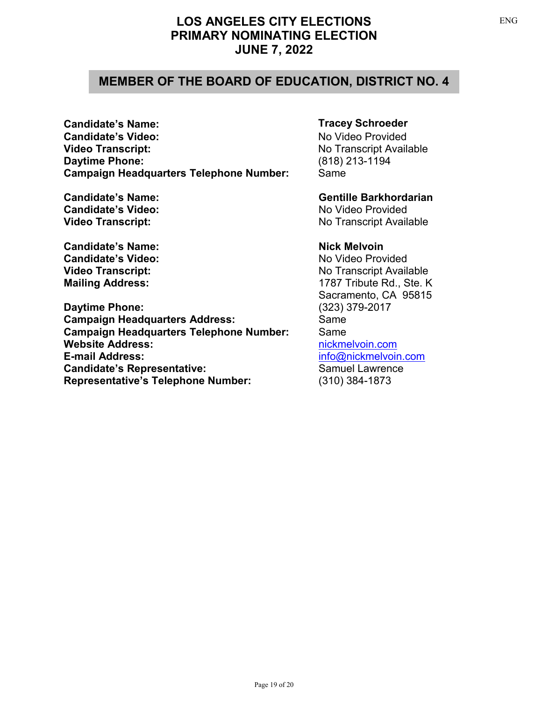## **MEMBER OF THE BOARD OF EDUCATION, DISTRICT NO. 4**

**Candidate's Name: Candidate's Video: Video Transcript: Daytime Phone: Campaign Headquarters Telephone Number:** 

**Candidate's Video:** No Video Provided

**Candidate's Name: Nick Melvoin Candidate's Video:** No Video Provided

**Daytime Phone:** (323) 379-2017 **Campaign Headquarters Address:** Same **Campaign Headquarters Telephone Number:** Same **Website Address:** New York Community Property of the Muslim Community Property of the Muslim Community Property of the Muslim Community Property of the Muslim Community Property of the Muslim Community Property Community **E-mail Address:** [info@nickmelvoin.com](mailto:info@nickmelvoin.com) **Candidate's Representative:** Samuel Lawrence **Representative's Telephone Number:** (310) 384-1873

### **Tracey Schroeder**

No Video Provided No Transcript Available (818) 213-1194 Same

**Candidate's Name: Gentille Barkhordarian Video Transcript:** No Transcript Available

**Video Transcript:** No Transcript Available **Mailing Address:** 1787 Tribute Rd., Ste. K Sacramento, CA 95815